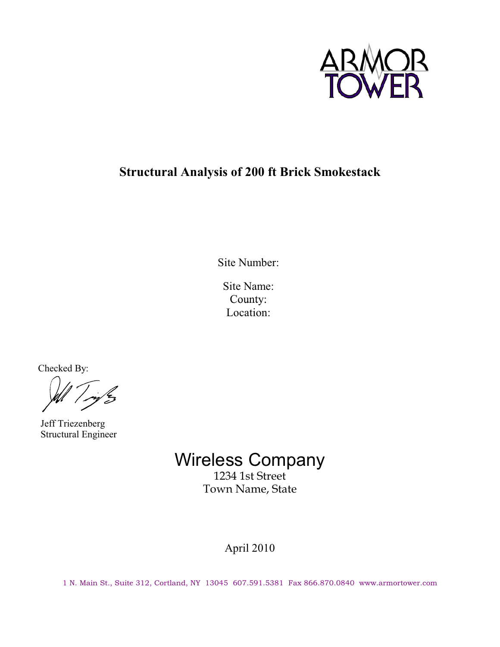

## **Structural Analysis of 200 ft Brick Smokestack**

Site Number:

Site Name: County: Location:

Checked By:

 Jeff Triezenberg Structural Engineer

> Wireless Company 1234 1st Street Town Name, State

> > April 2010

1 N. Main St., Suite 312, Cortland, NY 13045 607.591.5381 Fax 866.870.0840 www.armortower.com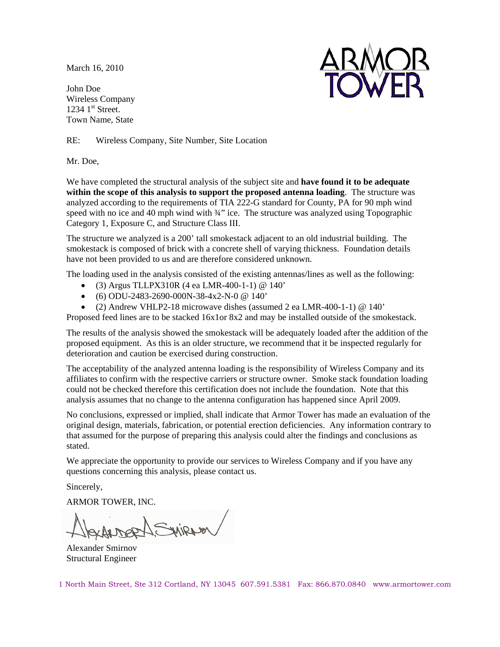March 16, 2010

John Doe Wireless Company  $1234$  1st Street. Town Name, State



RE: Wireless Company, Site Number, Site Location

Mr. Doe,

We have completed the structural analysis of the subject site and **have found it to be adequate within the scope of this analysis to support the proposed antenna loading**. The structure was analyzed according to the requirements of TIA 222-G standard for County, PA for 90 mph wind speed with no ice and 40 mph wind with  $\frac{3}{4}$  ice. The structure was analyzed using Topographic Category 1, Exposure C, and Structure Class III.

The structure we analyzed is a 200' tall smokestack adjacent to an old industrial building. The smokestack is composed of brick with a concrete shell of varying thickness. Foundation details have not been provided to us and are therefore considered unknown.

The loading used in the analysis consisted of the existing antennas/lines as well as the following:

- $\bullet$  (3) Argus TLLPX310R (4 ea LMR-400-1-1) @ 140'
- $\bullet$  (6) ODU-2483-2690-000N-38-4x2-N-0 @ 140'
- (2) Andrew VHLP2-18 microwave dishes (assumed 2 ea LMR-400-1-1) @ 140'

Proposed feed lines are to be stacked 16x1or 8x2 and may be installed outside of the smokestack.

The results of the analysis showed the smokestack will be adequately loaded after the addition of the proposed equipment. As this is an older structure, we recommend that it be inspected regularly for deterioration and caution be exercised during construction.

The acceptability of the analyzed antenna loading is the responsibility of Wireless Company and its affiliates to confirm with the respective carriers or structure owner. Smoke stack foundation loading could not be checked therefore this certification does not include the foundation. Note that this analysis assumes that no change to the antenna configuration has happened since April 2009.

No conclusions, expressed or implied, shall indicate that Armor Tower has made an evaluation of the original design, materials, fabrication, or potential erection deficiencies. Any information contrary to that assumed for the purpose of preparing this analysis could alter the findings and conclusions as stated.

We appreciate the opportunity to provide our services to Wireless Company and if you have any questions concerning this analysis, please contact us.

Sincerely,

ARMOR TOWER, INC.

versine

Alexander Smirnov Structural Engineer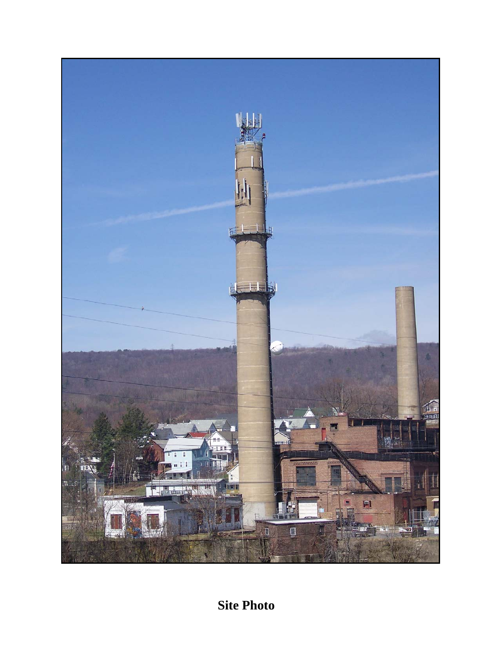

**Site Photo**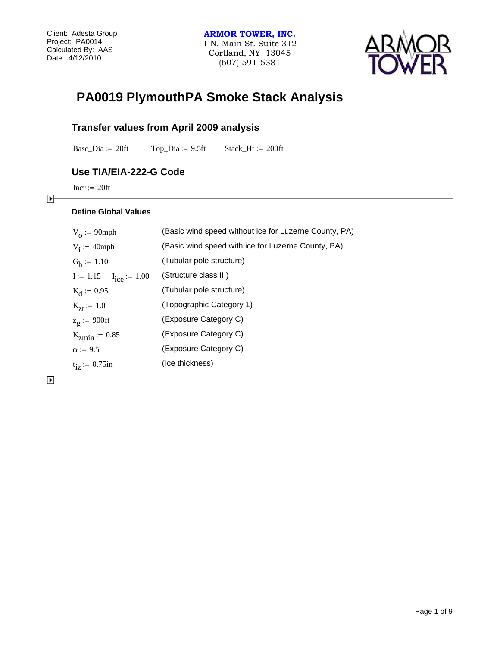

## **PA0019 PlymouthPA Smoke Stack Analysis**

## **Transfer values from April 2009 analysis**

Base\_Dia := 20ft  $Top\_Dia := 9.5ft$  Stack\_Ht := 200ft

## **Use TIA/EIA-222-G Code**

 $Incr := 20ft$ 

### **Define Global Values**

| $V_0 := 90$ mph               | (Basic wind speed without ice for Luzerne County, PA) |
|-------------------------------|-------------------------------------------------------|
| $V_i := 40$ mph               | (Basic wind speed with ice for Luzerne County, PA)    |
| $G_h := 1.10$                 | (Tubular pole structure)                              |
| $I := 1.15$ $I_{ice} := 1.00$ | (Structure class III)                                 |
| $K_d := 0.95$                 | (Tubular pole structure)                              |
| $K_{7f} := 1.0$               | (Topographic Category 1)                              |
| $z_g$ := 900ft                | (Exposure Category C)                                 |
| $K_{zmin} = 0.85$             | (Exposure Category C)                                 |
| $\alpha$ := 9.5               | (Exposure Category C)                                 |
| $t_{iz} := 0.75$ in           | (Ice thickness)                                       |
|                               |                                                       |

 $\blacktriangleright$ 

 $\blacktriangleright$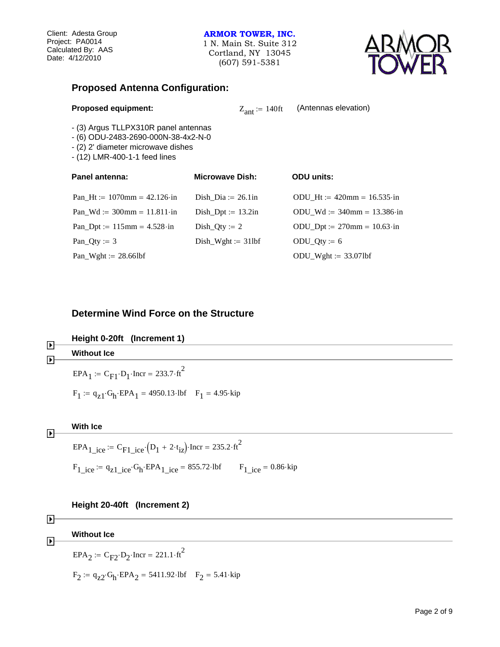## **ARMOR TOWER, INC.**

1 N. Main St. Suite 312 Cortland, NY 13045 (607) 591-5381



## **Proposed Antenna Configuration:**

| <b>Proposed equipment:</b> |                       |
|----------------------------|-----------------------|
|                            | $Z_{\text{ant}} := 1$ |

 $_{\text{ant}} := 140 \text{ft}$  (Antennas elevation)

- (3) Argus TLLPX310R panel antennas
- (6) ODU-2483-2690-000N-38-4x2-N-0
- (2) 2' diameter microwave dishes
- (12) LMR-400-1-1 feed lines

| Panel antenna:                                     | <b>Microwave Dish:</b> | <b>ODU</b> units:                     |
|----------------------------------------------------|------------------------|---------------------------------------|
| Pan Ht := $1070$ mm = $42.126$ ·in                 | Dish Dia $:= 26.1$ in  | ODU Ht:= $420$ mm = $16.535 \cdot in$ |
| Pan Wd := $300$ mm = $11.811 \cdot in$             | Dish Dpt := $13.2$ in  | ODU Wd := $340$ mm = $13.386$ ·in     |
| Pan_Dpt := $115 \text{mm} = 4.528 \cdot \text{in}$ | $Dist_Qty := 2$        | $ODU_Dpt := 270mm = 10.63 \cdot in$   |
| Pan_Qty := $3$                                     | $Dist_Wight := 31lbf$  | $ODU_Qty := 6$                        |
| Pan_Wght := $28.66$ lbf                            |                        | $ODU_Wght := 33.07lbf$                |

## **Determine Wind Force on the Structure**

| $\blacktriangleright$ | Height 0-20ft (Increment 1)                                                      |
|-----------------------|----------------------------------------------------------------------------------|
|                       | <b>Without Ice</b>                                                               |
|                       | $EPA_1 = C_{F1} \cdot D_1 \cdot \text{Incr} = 233.7 \cdot \text{ft}^2$           |
|                       | $F_1 := q_{z1} \cdot G_h \cdot EPA_1 = 4950.13 \cdot lbf$ $F_1 = 4.95 \cdot kip$ |
|                       |                                                                                  |



**Height 20-40ft (Increment 2)**

| $\blacktriangleright$ | <b>Without Ice</b>                                                        |
|-----------------------|---------------------------------------------------------------------------|
|                       | $EPA_2 = C_{F2} \cdot D_2 \cdot \text{Incr} = 221.1 \cdot \text{ft}^2$    |
|                       | $F_2 = q_{z2} G_h \cdot EPA_2 = 5411.92 \cdot lbf$ $F_2 = 5.41 \cdot kip$ |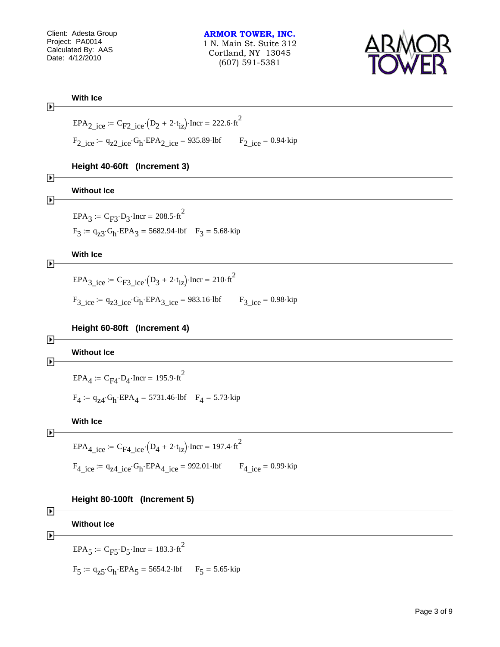

**With ice**  
\n
$$
\mathbf{EPA}_{2\text{-ice}} := \mathbf{C}_{\text{F2-ice}}(D_2 + 2 \cdot t_{1z}) \cdot \text{Incr} = 222.6 \cdot \text{R}^2
$$
\n
$$
\mathbf{F}_{2\text{-ice}} = 4_{22\text{-ice}} \cdot \text{G}_{\text{h}} \cdot \text{EPA}_{2\text{-ice}} = 935.89 \cdot 10 \text{ F}_{2\text{-ice}} = 0.94 \cdot \text{kip}
$$
\n
$$
\mathbf{Height} \text{ 40-60ft} \text{ (Increment 3)}
$$
\n
$$
\mathbf{D}
$$
\n
$$
\mathbf{Without \text{ te}}
$$
\n
$$
\mathbf{EPA}_{3} := \mathbf{C}_{\text{F3}} \cdot \mathbf{D}_{3} \cdot \text{Incr} = 208.5 \cdot \text{R}^2
$$
\n
$$
\mathbf{F}_{3} := 4_{23} \cdot \text{G}_{\text{h}} \cdot \text{EPA}_{3} = 5682.94 \cdot 10 \text{ F}_{3} = 5.68 \cdot \text{kip}
$$
\n
$$
\mathbf{With \text{ te}}
$$
\n
$$
\mathbf{EPA}_{3\text{-ice}} := \mathbf{C}_{\text{F3-ice}}(D_3 + 2 \cdot t_{1z}) \cdot \text{Incr} = 210 \cdot \text{R}^2
$$
\n
$$
\mathbf{F}_{3\text{-ice}} = 0.98 \cdot \text{kip}
$$
\n
$$
\mathbf{Height} \text{ 60-80ft} \text{ (Increment 4)}
$$
\n
$$
\mathbf{D}
$$
\n
$$
\mathbf{D}
$$
\n
$$
\mathbf{Without \text{te}}
$$
\n
$$
\mathbf{EPA}_{4} := \mathbf{C}_{\text{F4}} \cdot \mathbf{D}_{4} \cdot \text{Incr} = 195.9 \cdot \text{R}^2
$$
\n
$$
\mathbf{F}_{4} := 5731.46 \cdot 10 \text{ F}_{4} = 573 \cdot \text{kip}
$$
\n
$$
\mathbf{With \text{ tce}}
$$
\n
$$
\mathbf{D}
$$
\n
$$
\mathbf{EPA}_{4\text{-ice
$$

| ▶ |                                                                        |
|---|------------------------------------------------------------------------|
|   | <b>Without Ice</b>                                                     |
| D | $EPA_5 = C_{F5} \cdot D_5 \cdot \text{Incr} = 183.3 \cdot \text{ft}^2$ |
|   | $F_5 = q_{25} G_h$ ·EPA <sub>5</sub> = 5654.2·lbf $F_5$ = 5.65·kip     |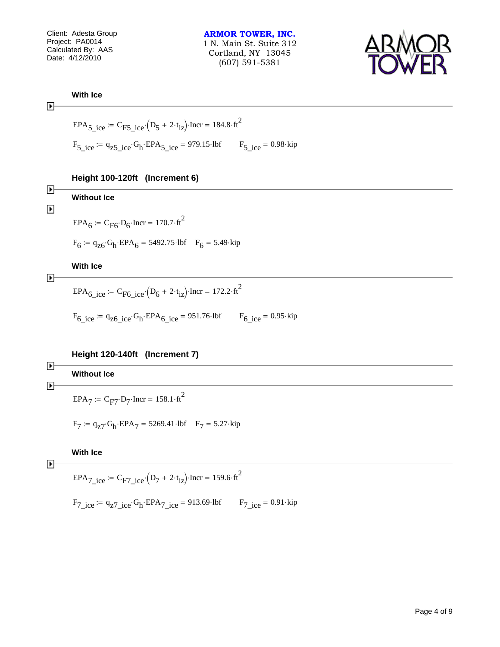**ARMOR TOWER, INC.** 1 N. Main St. Suite 312 Cortland, NY 13045 (607) 591-5381



**With Ice**

 $\blacktriangleright$ 

$$
EPA5\_ice := CFS\_ice \cdot (D5 + 2 \cdot tiz) \cdot Incr = 184.8 \cdot ft2
$$
  
\n
$$
F5\_ice := qz5\_ice \cdot Gh \cdot EPA5\_ice = 979.15 \cdot lbf
$$
  
\n
$$
F5\_ice = 0.98 \cdot kip
$$

**Height 100-120ft (Increment 6)**

| Þ | <b>Without Ice</b>                                                        |
|---|---------------------------------------------------------------------------|
| Þ | $EPA_6 = C_{F6} \cdot D_6 \cdot \text{Incr} = 170.7 \cdot \text{ft}^2$    |
|   | $F_6 = q_{z6} G_h \cdot EPA_6 = 5492.75 \cdot lbf$ $F_6 = 5.49 \cdot kip$ |
| 7 | <b>With Ice</b>                                                           |

$$
\overline{\blacktriangleright}
$$

$$
EPA_{6\_ice} := C_{F6\_ice} \cdot (D_6 + 2 \cdot t_{iz}) \cdot \text{Incr} = 172.2 \cdot \text{ft}^2
$$

 $F_6$  ice  $=$   $q_{z6}$  ice  $G_h$  EPA<sub>6</sub> ice = 951.76 lbf  $F_6$  ice = 0.95 kip

## **Height 120-140ft (Increment 7)**

| $\blacktriangleright$ | <b>Without Ice</b>                                                        |
|-----------------------|---------------------------------------------------------------------------|
| $\blacktriangleright$ | $EPA_7 = C_{F7} \cdot D_7 \cdot \text{Incr} = 158.1 \cdot \text{ft}^2$    |
|                       | $F_7 = q_{z7} G_h \cdot EPA_7 = 5269.41 \cdot lbf$ $F_7 = 5.27 \cdot kip$ |

## **With Ice**

 $\blacktriangleright$ 

 $EPA_{7\text{_<}ice} := C_{F7\text{_<}ice} \cdot (D_7 + 2 \cdot t_{iz}) \cdot \text{Incr} = 159.6 \cdot \text{ft}^2$ 

 $F_{7\text{\_ice}} = q_{z7\text{\_ice}} - G_h$  EPA<sub>7\_ice</sub> = 913.69 lbf  $F_{7\text{\_ice}} = 0.91$  kip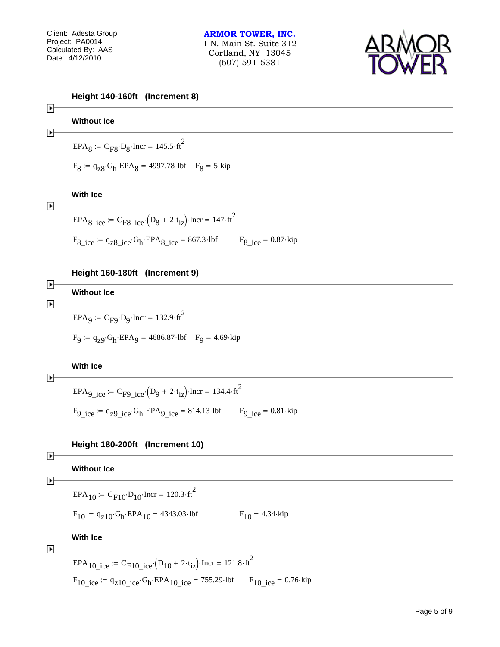

| $\blacktriangleright$                          | Height 140-160ft (Increment 8)                                                                                        |
|------------------------------------------------|-----------------------------------------------------------------------------------------------------------------------|
| $\blacktriangleright$                          | <b>Without Ice</b>                                                                                                    |
|                                                | $EPA8 := CFS \cdot D8 \cdot Incr = 145.5 \cdot ft2$                                                                   |
|                                                | $F_8 = q_{z8} G_h$ ·EPA <sub>8</sub> = 4997.78·lbf $F_8 = 5$ ·kip                                                     |
| $\blacktriangleright$                          | <b>With Ice</b>                                                                                                       |
|                                                | $EPA_{8\text{\_ice}} = C_{F8\text{\_ice}} \cdot (D_8 + 2 \cdot t_{1z})$ · Incr = 147·ft <sup>2</sup>                  |
|                                                | $F_{8\text{\_ice}} = q_{z8\text{\_ice}} \cdot G_h \cdot EPA_{8\text{ }ice} = 867.3 \cdot lbf$<br>$F_8$ ice = 0.87 kip |
|                                                | Height 160-180ft (Increment 9)                                                                                        |
| $\blacktriangleright$<br>$\blacktriangleright$ | <b>Without Ice</b>                                                                                                    |
|                                                | $EPA9 := CF9 \cdot D9 \cdot Incr = 132.9 \cdot ft2$                                                                   |
|                                                | $F_9 = q_{Z9} G_h$ ·EPA <sub>9</sub> = 4686.87·lbf $F_9 = 4.69$ ·kip                                                  |
|                                                | <b>With Ice</b>                                                                                                       |

```
\blacktriangleright
```
EPA<sub>9\_ice</sub> := C<sub>F9\_ice</sub>  $(D_9 + 2 \cdot t_{1z})$ ·Incr = 134.4  $\cdot$ ft<sup>2</sup>  $F_9$  ice  $= 9_{29}$  ice  $G_h$  EPA<sub>9</sub> ice  $= 814.13$  lbf  $F_{9}$  ice  $= 0.81$  kip

## **Height 180-200ft (Increment 10)**

| Þ<br>Þ                | <b>Without Ice</b>                                                                                                |                           |
|-----------------------|-------------------------------------------------------------------------------------------------------------------|---------------------------|
|                       | $EPA_{10}$ = $C_{F10}D_{10}$ Incr = 120.3 · ft <sup>2</sup>                                                       |                           |
|                       | $F_{10}$ = $q_{z10}$ G <sub>h</sub> EPA <sub>10</sub> = 4343.03 lbf                                               | $F_{10} = 4.34 \cdot kip$ |
|                       | <b>With Ice</b>                                                                                                   |                           |
| $\blacktriangleright$ | EPA <sub>10_ice</sub> := C <sub>F10_ice</sub> (D <sub>10</sub> + 2·t <sub>iz</sub> ) Incr = 121.8 ft <sup>2</sup> |                           |

 $F_{10\text{_<}ice} = q_{z10\text{_<}ice} - G_h - EPA_{10\text{_<}ice} = 755.29 - 16f$   $F_{10\text{_<}ice} = 0.76$  kip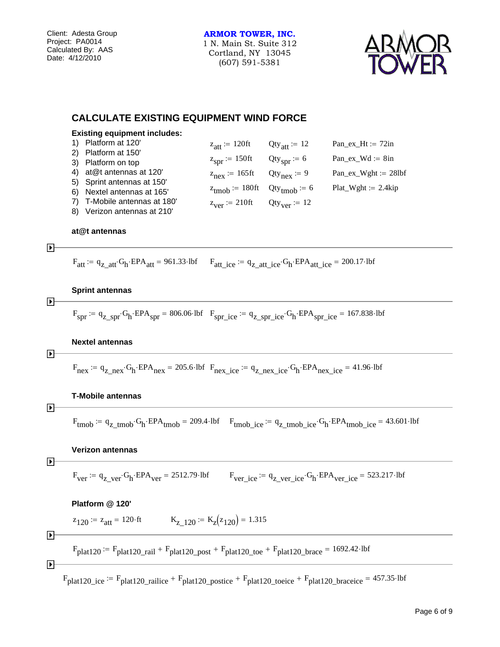**ARMOR TOWER, INC.** 1 N. Main St. Suite 312 Cortland, NY 13045 (607) 591-5381



## **CALCULATE EXISTING EQUIPMENT WIND FORCE**

| <b>Existing equipment includes:</b> |                                         |                                 |                          |
|-------------------------------------|-----------------------------------------|---------------------------------|--------------------------|
| Platform at 120'                    | $z_{\text{att}} \coloneq 120 \text{ft}$ | $Qty_{\text{att}} \coloneqq 12$ | Pan_ex_Ht := $72in$      |
| Platform at 150'<br>2)              |                                         |                                 |                          |
| 3) Platform on top                  | $z_{spr}$ := 150ft                      | $Qty_{spr} = 6$                 | Pan ex $Wd := 8in$       |
| at@t antennas at 120'               | $z_{\text{nex}}$ = 165ft                | $Qty_{\text{next}} = 9$         | $Pan\_ex\_Wght := 28lbf$ |
| 5) Sprint antennas at 150'          |                                         |                                 |                          |
| Nextel antennas at 165'<br>6)       | $z_{\text{tmoh}}$ = 180ft               | $Qty_{\text{tmob}} = 6$         | $Plat_Wght := 2.4kip$    |
| T-Mobile antennas at 180'           | $z_{\text{ver}} \coloneq 210 \text{ft}$ | $Qty_{ver} \coloneq 12$         |                          |
| Verizon antennas at 210'            |                                         |                                 |                          |

#### **at@t antennas**

$$
\mathbf{F}^{\mathbf{r}}
$$

 $\blacktriangleright$ 

 $F_{\text{att}} = q_{\text{z} \text{att}} G_{\text{h}} EPA_{\text{att}} = 961.33 \cdot \text{lbf}$   $F_{\text{att} \text{ice}} = q_{\text{z} \text{att} \text{ice}} G_{\text{h}} EPA_{\text{att} \text{ice}} = 200.17 \cdot \text{lbf}$ 

#### **Sprint antennas**

 $F_{spr}$  :=  $q_{Zspr} G_h$  EPA<sub>spr</sub> = 806.06 lbf  $F_{spr\_ice}$  :=  $q_{Z_spr\_ice} G_h$  EPA<sub>spr\_ice</sub> = 167.838 lbf

#### **Nextel antennas**

$$
\blacktriangleright \vdash
$$

 $F_{\text{nex}} = q_{\text{z}} \cdot G_{\text{h}} \cdot EPA_{\text{nex}} = 205.6 \cdot \text{lbf}$  F<sub>nex</sub> ice  $q_{\text{z}} = q_{\text{z}} \cdot G_{\text{h}} \cdot EPA_{\text{nex}}$  ice  $= 41.96 \cdot \text{lbf}$ 

#### **T-Mobile antennas**

$$
\blacktriangleright
$$

 $F_{tmob} = q_z_{tmob} G_h$  EPA<sub>tmob</sub> = 209.4 lbf  $F_{tmob}$  ice  $= q_z_{tmob}$  ice  $G_h$  EPA<sub>tmob</sub> ice  $= 43.601$  lbf

#### **Verizon antennas**

$$
\blacktriangleright
$$

 $F_{ver}$  :=  $q_{Z\_ver}$  $G_h$   $EPA_{ver}$  = 2512.79 lbf  $F_{ver\_ice}$  :=  $q_{Z\_ver\_ice}$  $G_h$   $EPA_{ver\_ice}$  = 523.217 lbf

#### **Platform @ 120'**

$$
z_{120} = z_{att} = 120 \text{·ft}
$$
  $K_{z\_120} = K_{z}(z_{120}) = 1.315$ 

#### $\blacktriangleright$

 $F_{\text{plat120}} = F_{\text{plat120\_rai}} + F_{\text{plat120\_post}} + F_{\text{plat120\_toe}} + F_{\text{plat120\_brace}} = 1692.42 \cdot \text{lbf}$ 

$$
\blacktriangleright \vdash
$$

 $F_{\text{plat120\_ice}} = F_{\text{plat120\_railice}} + F_{\text{plat120\_postice}} + F_{\text{plat120\_toeice}} + F_{\text{plat120\_braceice}} = 457.35 \cdot \text{lbf}$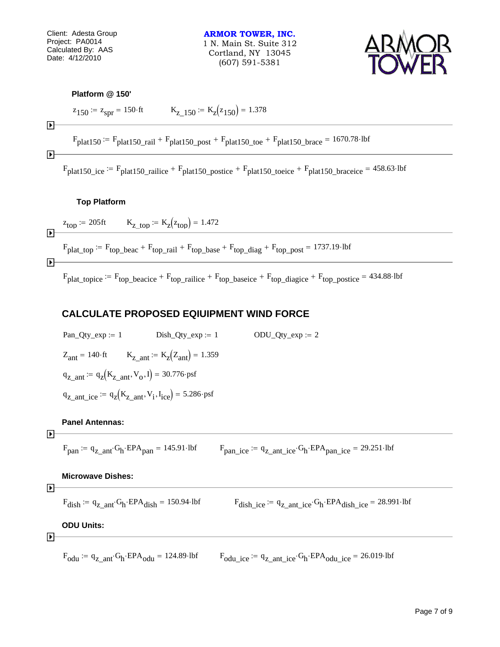Client: Adesta Group Project: PA0014 Calculated By: AAS Date: 4/12/2010

**ARMOR TOWER, INC.** 1 N. Main St. Suite 312 Cortland, NY 13045 (607) 591-5381



#### **Platform @ 150'**

$$
z_{150} = z_{spr} = 150 \text{ ft}
$$
  $K_{z_{150}} = K_{z}(z_{150}) = 1.378$ 

 $F<sub>plat150</sub> := F<sub>plat150</sub>$  rail  $F<sub>plat150</sub>$  post  $F<sub>plat150</sub>$  toe  $F<sub>plat150</sub>$  brace  $F<sub>1670.78</sub>$  lbf

 $\blacktriangleright$ 

 $\blacktriangleright$ 

 $F<sub>plat150</sub>$ ice  $F<sub>plat150</sub>$ railice +  $F<sub>plat150</sub>$ postice +  $F<sub>plat150</sub>$ toeice +  $F<sub>plat150</sub>$ braceice = 458.63 lbf

### **Top Platform**

 $z_{\text{top}} = 205 \text{ft}$  K<sub>z top</sub>  $= K_{z} (z_{\text{top}}) = 1.472$ 

 $F_{\text{plat top}} := F_{\text{top}}$  beac  $F_{\text{top}}$  rail  $F_{\text{top}}$  base  $F_{\text{top}}$  diag  $F_{\text{top}}$  post  $F_{\text{top}}$  1737.19 lbf

 $\blacktriangleright$ 

 $\blacktriangleright$ 

 $F_{\text{plat\_topic}} = F_{\text{top\_because}} + F_{\text{top\_nailice}} + F_{\text{top\_baseline}} + F_{\text{top\_digice}} + F_{\text{top\_postice}} = 434.88 \cdot \text{lbf}$ 

## **CALCULATE PROPOSED EQIUIPMENT WIND FORCE**

 $Pan\_Qty\_exp := 1$   $Disk\_Qty\_exp := 1$   $ODU\_Qty\_exp := 2$  $Z_{\text{ant}} = 140 \cdot \text{ft}$   $K_{Z \text{ ant}} := K_{Z}(Z_{\text{ant}}) = 1.359$  $q_{z\_ant} := q_z(K_{z\_ant}, V_o, I) = 30.776$ ·psf  $q_{z\_ant\_ice} := q_z(K_{z\_ant}, V_i, I_{ice}) = 5.286 \text{·psf}$ 

### **Panel Antennas:**

$$
\color{red}\blacktriangleright
$$

 $F_{\text{pan}} = q_z_{\text{ant}} G_h$  EPA<sub>pan</sub> = 145.91 lbf  $F_{\text{pan}}$  ice  $= q_z_{\text{ant}}$  ice  $G_h$  EPA<sub>pan</sub> ice  $= 29.251$  lbf

#### **Microwave Dishes:**

$$
\overline{}
$$

 $F_{\text{dish}} = q_{z\text{ ant}} G_h$  EPA $_{\text{dish}} = 150.94$  lbf  $F_{\text{dish}}$  ice  $q_{z\text{ ant}}$  ice  $G_h$  EPA $_{\text{dish}}$  ice  $= 28.991$  lbf

## **ODU Units:**

$$
\blacktriangleright
$$

 $F_{\text{odu}} = q_{\text{z} \text{ ant}} G_{\text{h}} EPA_{\text{odu}} = 124.89 \cdot \text{lbf}$   $F_{\text{odu} \text{ ice}} = q_{\text{z} \text{ ant ice}} G_{\text{h}} EPA_{\text{odu} \text{ ice}} = 26.019 \cdot \text{lbf}$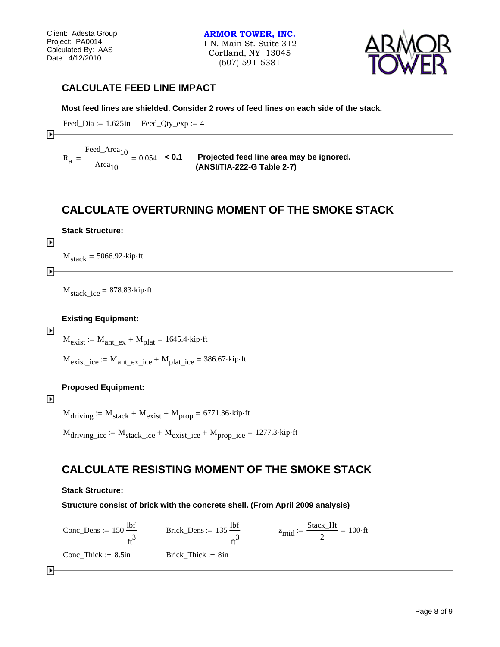**ARMOR TOWER, INC.** 1 N. Main St. Suite 312 Cortland, NY 13045 (607) 591-5381



## **CALCULATE FEED LINE IMPACT**

**Most feed lines are shielded. Consider 2 rows of feed lines on each side of the stack.**

$$
Head\_ Dia := 1.625 in \qquad \text{Feed\_Qty\_exp} := 4
$$

$$
\blacktriangleright
$$

 $R_{a}$ Feed\_Area<sub>10</sub> Area $_{10}$ 

 $\mu =$   $\frac{10}{2}$  = 0.054 < **0.1** Projected feed line area may be ignored.  **(ANSI/TIA-222-G Table 2-7)**

## **CALCULATE OVERTURNING MOMENT OF THE SMOKE STACK**

#### **Stack Structure:**

## $\blacktriangleright$

 $M_{stack} = 5066.92 \cdot kip \cdot ft$ 

#### $\blacktriangleright$

ஈ

 $M_{stack\_ice} = 878.83 \cdot kip \cdot ft$ 

### **Existing Equipment:**

 $M_{\text{exist}} = M_{\text{ant\_ex}} + M_{\text{plat}} = 1645.4 \cdot \text{kip·ft}$ 

 $M_{\text{exist}}$  ice  $= M_{\text{ant}}$  ex ice  $+ M_{\text{plat}}$  ice  $= 386.67$  kip ft

## **Proposed Equipment:**

#### $\blacktriangleright$

 $M_{\text{driving}} \approx M_{\text{stack}} + M_{\text{exist}} + M_{\text{prop}} = 6771.36 \cdot \text{kip·fit}$ 

M<sub>driving ice</sub>  $= M_{stack}$ ice  $+ M_{exist}$ ice  $+ M_{prop}$ <sub>ice</sub>  $= 1277.3$  kip ft

## **CALCULATE RESISTING MOMENT OF THE SMOKE STACK**

#### **Stack Structure:**

#### **Structure consist of brick with the concrete shell. (From April 2009 analysis)**

 $Conc\_{Dens} := 150\frac{\text{lbf}}{\text{b}}$  $\mathrm{ft}^3$  $= 150 \frac{\text{lbf}}{\text{Brick}\_\text{Dens}} = 135 \frac{\text{lbf}}{\text{Brick}\_\text{Dens}}$  $\mathrm{ft}^3$  $z = 135 \frac{\text{lbf}}{3}$   $z_{\text{mid}} = \frac{\text{Stack\_Ht}}{2}$ 2  $=$   $\frac{5000 \text{ K} + 100}{100 \text{ K}}$  = 100 ft  $Conc_{\text{m}}$ Thick  $= 8.5$ in Brick\_Thick  $= 8$ in

 $\blacktriangleright$